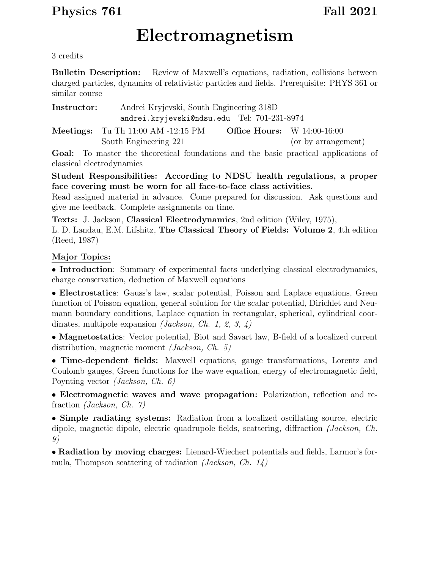## Physics 761 Fall 2021

# Electromagnetism

3 credits

Bulletin Description: Review of Maxwell's equations, radiation, collisions between charged particles, dynamics of relativistic particles and fields. Prerequisite: PHYS 361 or similar course

| Instructor:                                 | Andrei Kryjevski, South Engineering 318D      |                                      |  |
|---------------------------------------------|-----------------------------------------------|--------------------------------------|--|
| andrei.kryjevski@ndsu.edu Tel: 701-231-8974 |                                               |                                      |  |
|                                             | <b>Meetings:</b> Tu Th $11:00$ AM $-12:15$ PM | <b>Office Hours:</b> W $14:00-16:00$ |  |

South Engineering 221 (or by arrangement)

Goal: To master the theoretical foundations and the basic practical applications of classical electrodynamics

Student Responsibilities: According to NDSU health regulations, a proper face covering must be worn for all face-to-face class activities.

Read assigned material in advance. Come prepared for discussion. Ask questions and give me feedback. Complete assignments on time.

Texts: J. Jackson, Classical Electrodynamics, 2nd edition (Wiley, 1975),

L. D. Landau, E.M. Lifshitz, The Classical Theory of Fields: Volume 2, 4th edition (Reed, 1987)

### Major Topics:

• Introduction: Summary of experimental facts underlying classical electrodynamics, charge conservation, deduction of Maxwell equations

• Electrostatics: Gauss's law, scalar potential, Poisson and Laplace equations, Green function of Poisson equation, general solution for the scalar potential, Dirichlet and Neumann boundary conditions, Laplace equation in rectangular, spherical, cylindrical coordinates, multipole expansion *(Jackson, Ch. 1, 2, 3, 4)* 

• Magnetostatics: Vector potential, Biot and Savart law, B-field of a localized current distribution, magnetic moment *(Jackson, Ch. 5)* 

• Time-dependent fields: Maxwell equations, gauge transformations, Lorentz and Coulomb gauges, Green functions for the wave equation, energy of electromagnetic field, Poynting vector (Jackson, Ch. 6)

• Electromagnetic waves and wave propagation: Polarization, reflection and refraction (Jackson, Ch. 7)

• Simple radiating systems: Radiation from a localized oscillating source, electric dipole, magnetic dipole, electric quadrupole fields, scattering, diffraction (Jackson, Ch. 9)

• Radiation by moving charges: Lienard-Wiechert potentials and fields, Larmor's formula, Thompson scattering of radiation *(Jackson, Ch. 14)*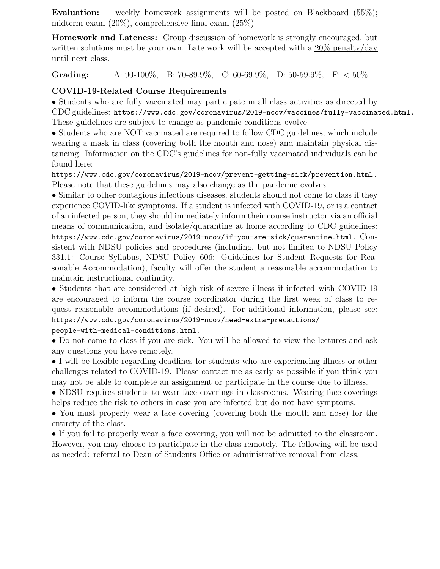Evaluation: weekly homework assignments will be posted on Blackboard (55%); midterm exam (20%), comprehensive final exam (25%)

Homework and Lateness: Group discussion of homework is strongly encouraged, but written solutions must be your own. Late work will be accepted with a 20% penalty/day until next class.

Grading: A:  $90-100\%$ , B:  $70-89.9\%$ , C:  $60-69.9\%$ , D:  $50-59.9\%$ , F: <  $50\%$ 

#### COVID-19-Related Course Requirements

• Students who are fully vaccinated may participate in all class activities as directed by CDC guidelines: https://www.cdc.gov/coronavirus/2019-ncov/vaccines/fully-vaccinated.html. These guidelines are subject to change as pandemic conditions evolve.

• Students who are NOT vaccinated are required to follow CDC guidelines, which include wearing a mask in class (covering both the mouth and nose) and maintain physical distancing. Information on the CDC's guidelines for non-fully vaccinated individuals can be found here:

https://www.cdc.gov/coronavirus/2019-ncov/prevent-getting-sick/prevention.html. Please note that these guidelines may also change as the pandemic evolves.

• Similar to other contagious infectious diseases, students should not come to class if they experience COVID-like symptoms. If a student is infected with COVID-19, or is a contact of an infected person, they should immediately inform their course instructor via an official means of communication, and isolate/quarantine at home according to CDC guidelines: https://www.cdc.gov/coronavirus/2019-ncov/if-you-are-sick/quarantine.html. Consistent with NDSU policies and procedures (including, but not limited to NDSU Policy 331.1: Course Syllabus, NDSU Policy 606: Guidelines for Student Requests for Reasonable Accommodation), faculty will offer the student a reasonable accommodation to maintain instructional continuity.

• Students that are considered at high risk of severe illness if infected with COVID-19 are encouraged to inform the course coordinator during the first week of class to request reasonable accommodations (if desired). For additional information, please see: https://www.cdc.gov/coronavirus/2019-ncov/need-extra-precautions/

#### people-with-medical-conditions.html.

• Do not come to class if you are sick. You will be allowed to view the lectures and ask any questions you have remotely.

• I will be flexible regarding deadlines for students who are experiencing illness or other challenges related to COVID-19. Please contact me as early as possible if you think you may not be able to complete an assignment or participate in the course due to illness.

• NDSU requires students to wear face coverings in classrooms. Wearing face coverings helps reduce the risk to others in case you are infected but do not have symptoms.

• You must properly wear a face covering (covering both the mouth and nose) for the entirety of the class.

• If you fail to properly wear a face covering, you will not be admitted to the classroom. However, you may choose to participate in the class remotely. The following will be used as needed: referral to Dean of Students Office or administrative removal from class.